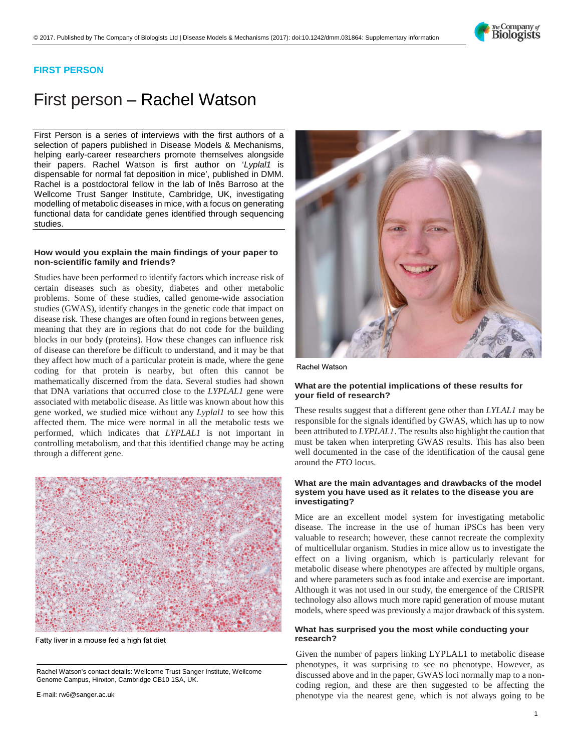

## **FIRST PERSON**

# First person – Rachel Watson

First Person is a series of interviews with the first authors of a selection of papers published in Disease Models & Mechanisms, helping early-career researchers promote themselves alongside their papers. Rachel Watson is first author on '*[Lyplal1](http://doi.org/10.1242/dmm.031864)* is [dispensable for normal fat deposition in mice',](http://doi.org/10.1242/dmm.031864) published in DMM. Rachel is a postdoctoral fellow in the lab of Inês Barroso at the Wellcome Trust Sanger Institute, Cambridge, UK, investigating modelling of metabolic diseases in mice, with a focus on generating functional data for candidate genes identified through sequencing studies.

#### **How would you explain the main findings of your paper to non-scientific family and friends?**

Studies have been performed to identify factors which increase risk of certain diseases such as obesity, diabetes and other metabolic problems. Some of these studies, called genome-wide association studies (GWAS), identify changes in the genetic code that impact on disease risk. These changes are often found in regions between genes, meaning that they are in regions that do not code for the building blocks in our body (proteins). How these changes can influence risk of disease can therefore be difficult to understand, and it may be that they affect how much of a particular protein is made, where the gene coding for that protein is nearby, but often this cannot be mathematically discerned from the data. Several studies had shown that DNA variations that occurred close to the *LYPLAL1* gene were associated with metabolic disease. As little was known about how this gene worked, we studied mice without any *Lyplal1* to see how this affected them. The mice were normal in all the metabolic tests we performed, which indicates that *LYPLAL1* is not important in controlling metabolism, and that this identified change may be acting through a different gene.

|  |  | ) DWW\OLYHULQDPRXVHIH <b>&amp;eseapch?</b> KLJKIDWGLHW |  |
|--|--|--------------------------------------------------------|--|
|  |  | Given the number of papers linking LYPLAL              |  |
|  |  | alenerarian di roma mundiale da nen en ale             |  |

E-mail: [rw6@sanger.ac.uk](mailto:rw6@sanger.ac.uk)

### 5DFKHO:DWVRQ

#### **What are the potential implications of these results for your field of research?**

These results suggest that a different gene other than *LYLAL1* may be responsible for the signals identified by GWAS, which has up to now been attributed to *LYPLAL1*. The results also highlight the caution that must be taken when interpreting GWAS results. This has also been well documented in the case of the identification of the causal gene around the *FTO* locus.

#### **What are the main advantages and drawbacks of the model system you have used as it relates to the disease you are investigating?**

Mice are an excellent model system for investigating metabolic disease. The increase in the use of human iPSCs has been very valuable to research; however, these cannot recreate the complexity of multicellular organism. Studies in mice allow us to investigate the effect on a living organism, which is particularly relevant for metabolic disease where phenotypes are affected by multiple organs, and where parameters such as food intake and exercise are important. Although it was not used in our study, the emergence of the CRISPR technology also allows much more rapid generation of mouse mutant models, where speed was previously a major drawback of this system.

## **What has surprised you the most while conducting your**

Given the number of papers linking LYPLAL1 to metabolic disease phenotypes, it was surprising to see no phenotype. However, as 5DFKHO:DWVRQ¶VFRQWDFWGHWHGHWDLOV:DWASIOCFINOrman Manon-HUV; \* H Q R P H & D P S X V + L Q [ W R Q & D P E U L G J H and these are then suggested to be affecting the phenotype via the nearest gene, which is not always going to be